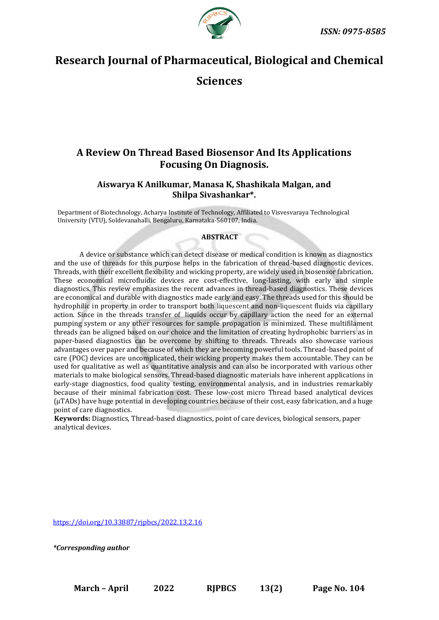



# **Research Journal of Pharmaceutical, Biological and Chemical**

## **Sciences**

## **A Review On Thread Based Biosensor And Its Applications Focusing On Diagnosis.**

## **Aiswarya K Anilkumar, Manasa K, Shashikala Malgan, and Shilpa Sivashankar\*.**

Department of Biotechnology, Acharya Institute of Technology, Affiliated to Visvesvaraya Technological University (VTU), Soldevanahalli, Bengaluru, Karnataka-560107, India.

## **ABSTRACT**

A device or substance which can detect disease or medical condition is known as diagnostics and the use of threads for this purpose helps in the fabrication of thread-based diagnostic devices. Threads, with their excellent flexibility and wicking property, are widely used in biosensor fabrication. These economical microfluidic devices are cost-effective, long-lasting, with early and simple diagnostics. This review emphasizes the recent advances in thread-based diagnostics. These devices are economical and durable with diagnostics made early and easy. The threads used for this should be hydrophilic in property in order to transport both liquescent and non-liquescent fluids via capillary action. Since in the threads transfer of liquids occur by capillary action the need for an external pumping system or any other resources for sample propagation is minimized. These multifilament threads can be aligned based on our choice and the limitation of creating hydrophobic barriers as in paper-based diagnostics can be overcome by shifting to threads. Threads also showcase various advantages over paper and because of which they are becoming powerful tools. Thread-based point of care (POC) devices are uncomplicated, their wicking property makes them accountable. They can be used for qualitative as well as quantitative analysis and can also be incorporated with various other materials to make biological sensors. Thread-based diagnostic materials have inherent applications in early-stage diagnostics, food quality testing, environmental analysis, and in industries remarkably because of their minimal fabrication cost. These low-cost micro Thread based analytical devices (μTADs) have huge potential in developing countries because of their cost, easy fabrication, and a huge point of care diagnostics.

**Keywords:** Diagnostics, Thread-based diagnostics, point of care devices, biological sensors, paper analytical devices.

<https://doi.org/10.33887/rjpbcs/2022.13.2.16>

*\*Corresponding author*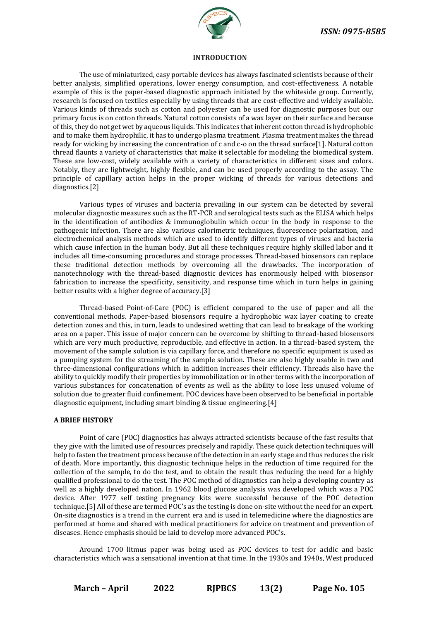

#### **INTRODUCTION**

The use of miniaturized, easy portable devices has always fascinated scientists because of their better analysis, simplified operations, lower energy consumption, and cost-effectiveness. A notable example of this is the paper-based diagnostic approach initiated by the whiteside group. Currently, research is focused on textiles especially by using threads that are cost-effective and widely available. Various kinds of threads such as cotton and polyester can be used for diagnostic purposes but our primary focus is on cotton threads. Natural cotton consists of a wax layer on their surface and because of this, they do not get wet by aqueous liquids. This indicates that inherent cotton thread is hydrophobic and to make them hydrophilic, it has to undergo plasma treatment. Plasma treatment makes the thread ready for wicking by increasing the concentration of c and c-o on the thread surface[1]. Natural cotton thread flaunts a variety of characteristics that make it selectable for modeling the biomedical system. These are low-cost, widely available with a variety of characteristics in different sizes and colors. Notably, they are lightweight, highly flexible, and can be used properly according to the assay. The principle of capillary action helps in the proper wicking of threads for various detections and diagnostics.[2]

Various types of viruses and bacteria prevailing in our system can be detected by several molecular diagnostic measures such as the RT-PCR and serological tests such as the ELISA which helps in the identification of antibodies & immunoglobulin which occur in the body in response to the pathogenic infection. There are also various calorimetric techniques, fluorescence polarization, and electrochemical analysis methods which are used to identify different types of viruses and bacteria which cause infection in the human body. But all these techniques require highly skilled labor and it includes all time-consuming procedures and storage processes. Thread-based biosensors can replace these traditional detection methods by overcoming all the drawbacks. The incorporation of nanotechnology with the thread-based diagnostic devices has enormously helped with biosensor fabrication to increase the specificity, sensitivity, and response time which in turn helps in gaining better results with a higher degree of accuracy.[3]

Thread-based Point-of-Care (POC) is efficient compared to the use of paper and all the conventional methods. Paper-based biosensors require a hydrophobic wax layer coating to create detection zones and this, in turn, leads to undesired wetting that can lead to breakage of the working area on a paper. This issue of major concern can be overcome by shifting to thread-based biosensors which are very much productive, reproducible, and effective in action. In a thread-based system, the movement of the sample solution is via capillary force, and therefore no specific equipment is used as a pumping system for the streaming of the sample solution. These are also highly usable in two and three-dimensional configurations which in addition increases their efficiency. Threads also have the ability to quickly modify their properties by immobilization or in other terms with the incorporation of various substances for concatenation of events as well as the ability to lose less unused volume of solution due to greater fluid confinement. POC devices have been observed to be beneficial in portable diagnostic equipment, including smart binding & tissue engineering.[4]

## **A BRIEF HISTORY**

Point of care (POC) diagnostics has always attracted scientists because of the fast results that they give with the limited use of resources precisely and rapidly. These quick detection techniques will help to fasten the treatment process because of the detection in an early stage and thus reduces the risk of death. More importantly, this diagnostic technique helps in the reduction of time required for the collection of the sample, to do the test, and to obtain the result thus reducing the need for a highly qualified professional to do the test. The POC method of diagnostics can help a developing country as well as a highly developed nation. In 1962 blood glucose analysis was developed which was a POC device. After 1977 self testing pregnancy kits were successful because of the POC detection technique.[5] All of these are termed POC's as the testing is done on-site without the need for an expert. On-site diagnostics is a trend in the current era and is used in telemedicine where the diagnostics are performed at home and shared with medical practitioners for advice on treatment and prevention of diseases. Hence emphasis should be laid to develop more advanced POC's.

Around 1700 litmus paper was being used as POC devices to test for acidic and basic characteristics which was a sensational invention at that time. In the 1930s and 1940s, West produced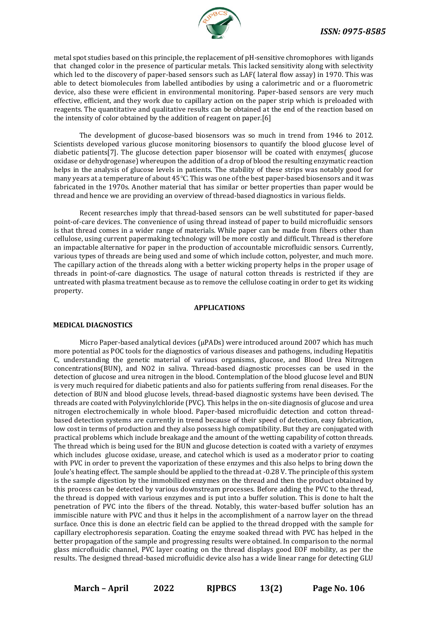

metal spot studies based on this principle, the replacement of pH-sensitive chromophores with ligands that changed color in the presence of particular metals. This lacked sensitivity along with selectivity which led to the discovery of paper-based sensors such as LAF( lateral flow assay) in 1970. This was able to detect biomolecules from labelled antibodies by using a calorimetric and or a fluorometric device, also these were efficient in environmental monitoring. Paper-based sensors are very much effective, efficient, and they work due to capillary action on the paper strip which is preloaded with reagents. The quantitative and qualitative results can be obtained at the end of the reaction based on the intensity of color obtained by the addition of reagent on paper.[6]

The development of glucose-based biosensors was so much in trend from 1946 to 2012. Scientists developed various glucose monitoring biosensors to quantify the blood glucose level of diabetic patients[7]. The glucose detection paper biosensor will be coated with enzymes( glucose oxidase or dehydrogenase) whereupon the addition of a drop of blood the resulting enzymatic reaction helps in the analysis of glucose levels in patients. The stability of these strips was notably good for many years at a temperature of about 45℃. This was one of the best paper-based biosensors and it was fabricated in the 1970s. Another material that has similar or better properties than paper would be thread and hence we are providing an overview of thread-based diagnostics in various fields.

Recent researches imply that thread-based sensors can be well substituted for paper-based point-of-care devices. The convenience of using thread instead of paper to build microfluidic sensors is that thread comes in a wider range of materials. While paper can be made from fibers other than cellulose, using current papermaking technology will be more costly and difficult. Thread is therefore an impactable alternative for paper in the production of accountable microfluidic sensors. Currently, various types of threads are being used and some of which include cotton, polyester, and much more. The capillary action of the threads along with a better wicking property helps in the proper usage of threads in point-of-care diagnostics. The usage of natural cotton threads is restricted if they are untreated with plasma treatment because as to remove the cellulose coating in order to get its wicking property.

#### **APPLICATIONS**

## **MEDICAL DIAGNOSTICS**

Micro Paper-based analytical devices (μPADs) were introduced around 2007 which has much more potential as POC tools for the diagnostics of various diseases and pathogens, including Hepatitis C, understanding the genetic material of various organisms, glucose, and Blood Urea Nitrogen concentrations(BUN), and NO2 in saliva. Thread-based diagnostic processes can be used in the detection of glucose and urea nitrogen in the blood. Contemplation of the blood glucose level and BUN is very much required for diabetic patients and also for patients suffering from renal diseases. For the detection of BUN and blood glucose levels, thread-based diagnostic systems have been devised. The threads are coated with Polyvinylchloride (PVC). This helps in the on-site diagnosis of glucose and urea nitrogen electrochemically in whole blood. Paper-based microfluidic detection and cotton threadbased detection systems are currently in trend because of their speed of detection, easy fabrication, low cost in terms of production and they also possess high compatibility. But they are conjugated with practical problems which include breakage and the amount of the wetting capability of cotton threads. The thread which is being used for the BUN and glucose detection is coated with a variety of enzymes which includes glucose oxidase, urease, and catechol which is used as a moderator prior to coating with PVC in order to prevent the vaporization of these enzymes and this also helps to bring down the Joule's heating effect. The sample should be applied to the thread at -0.28 V. The principle of this system is the sample digestion by the immobilized enzymes on the thread and then the product obtained by this process can be detected by various downstream processes. Before adding the PVC to the thread, the thread is dopped with various enzymes and is put into a buffer solution. This is done to halt the penetration of PVC into the fibers of the thread. Notably, this water-based buffer solution has an immiscible nature with PVC and thus it helps in the accomplishment of a narrow layer on the thread surface. Once this is done an electric field can be applied to the thread dropped with the sample for capillary electrophoresis separation. Coating the enzyme soaked thread with PVC has helped in the better propagation of the sample and progressing results were obtained. In comparison to the normal glass microfluidic channel, PVC layer coating on the thread displays good EOF mobility, as per the results. The designed thread-based microfluidic device also has a wide linear range for detecting GLU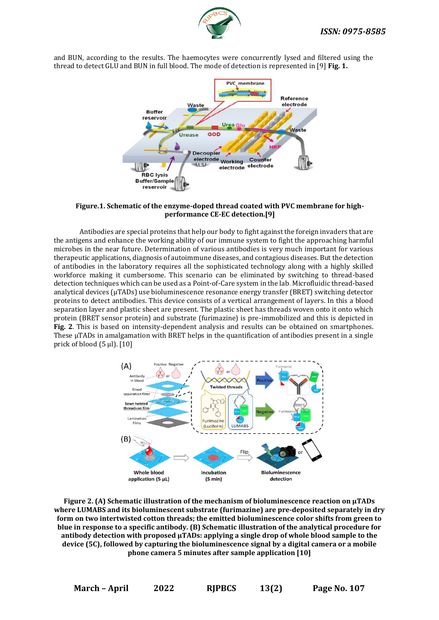

and BUN, according to the results. The haemocytes were concurrently lysed and filtered using the thread to detect GLU and BUN in full blood. The mode of detection is represented in [9] **Fig. 1.**



**Figure.1. Schematic of the enzyme-doped thread coated with PVC membrane for highperformance CE-EC detection.[9]**

Antibodies are special proteins that help our body to fight against the foreign invaders that are the antigens and enhance the working ability of our immune system to fight the approaching harmful microbes in the near future. Determination of various antibodies is very much important for various therapeutic applications, diagnosis of autoimmune diseases, and contagious diseases. But the detection of antibodies in the laboratory requires all the sophisticated technology along with a highly skilled workforce making it cumbersome. This scenario can be eliminated by switching to thread-based detection techniques which can be used as a Point-of-Care system in the lab. Microfluidic thread-based analytical devices (μTADs) use bioluminescence resonance energy transfer (BRET) switching detector proteins to detect antibodies. This device consists of a vertical arrangement of layers. In this a blood separation layer and plastic sheet are present. The plastic sheet has threads woven onto it onto which protein (BRET sensor protein) and substrate (furimazine) is pre-immobilized and this is depicted in **Fig. 2**. This is based on intensity-dependent analysis and results can be obtained on smartphones. These μTADs in amalgamation with BRET helps in the quantification of antibodies present in a single prick of blood (5 μl). [10]



**Figure 2. (A) Schematic illustration of the mechanism of bioluminescence reaction on µTADs where LUMABS and its bioluminescent substrate (furimazine) are pre-deposited separately in dry form on two intertwisted cotton threads; the emitted bioluminescence color shifts from green to blue in response to a specific antibody. (B) Schematic illustration of the analytical procedure for antibody detection with proposed µTADs: applying a single drop of whole blood sample to the device (5C), followed by capturing the bioluminescence signal by a digital camera or a mobile phone camera 5 minutes after sample application [10]**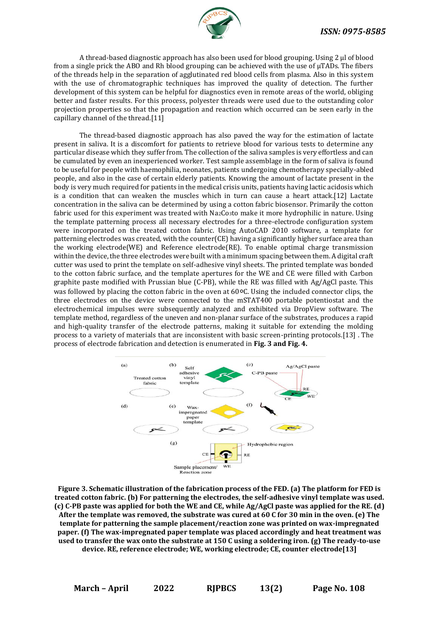

A thread-based diagnostic approach has also been used for blood grouping. Using 2 μl of blood from a single prick the ABO and Rh blood grouping can be achieved with the use of μTADs. The fibers of the threads help in the separation of agglutinated red blood cells from plasma. Also in this system with the use of chromatographic techniques has improved the quality of detection. The further development of this system can be helpful for diagnostics even in remote areas of the world, obliging better and faster results. For this process, polyester threads were used due to the outstanding color projection properties so that the propagation and reaction which occurred can be seen early in the capillary channel of the thread.[11]

The thread-based diagnostic approach has also paved the way for the estimation of lactate present in saliva. It is a discomfort for patients to retrieve blood for various tests to determine any particular disease which they suffer from. The collection of the saliva samples is very effortless and can be cumulated by even an inexperienced worker. Test sample assemblage in the form of saliva is found to be useful for people with haemophilia, neonates, patients undergoing chemotherapy specially-abled people, and also in the case of certain elderly patients. Knowing the amount of lactate present in the body is very much required for patients in the medical crisis units, patients having lactic acidosis which is a condition that can weaken the muscles which in turn can cause a heart attack.[12] Lactate concentration in the saliva can be determined by using a cotton fabric biosensor. Primarily the cotton fabric used for this experiment was treated with  $Na<sub>2</sub>Co<sub>3</sub>$ to make it more hydrophilic in nature. Using the template patterning process all necessary electrodes for a three-electrode configuration system were incorporated on the treated cotton fabric. Using AutoCAD 2010 software, a template for patterning electrodes was created, with the counter(CE) having a significantly higher surface area than the working electrode(WE) and Reference electrode(RE). To enable optimal charge transmission within the device, the three electrodes were built with a minimum spacing between them. A digital craft cutter was used to print the template on self-adhesive vinyl sheets. The printed template was bonded to the cotton fabric surface, and the template apertures for the WE and CE were filled with Carbon graphite paste modified with Prussian blue (C-PB), while the RE was filled with Ag/AgCl paste. This was followed by placing the cotton fabric in the oven at 60°C. Using the included connector clips, the three electrodes on the device were connected to the mSTAT400 portable potentiostat and the electrochemical impulses were subsequently analyzed and exhibited via DropView software. The template method, regardless of the uneven and non-planar surface of the substrates, produces a rapid and high-quality transfer of the electrode patterns, making it suitable for extending the molding process to a variety of materials that are inconsistent with basic screen-printing protocols.[13] . The process of electrode fabrication and detection is enumerated in **Fig. 3 and Fig. 4.** 



**Figure 3. Schematic illustration of the fabrication process of the FED. (a) The platform for FED is treated cotton fabric. (b) For patterning the electrodes, the self-adhesive vinyl template was used. (c) C-PB paste was applied for both the WE and CE, while Ag/AgCl paste was applied for the RE. (d) After the template was removed, the substrate was cured at 60 C for 30 min in the oven. (e) The template for patterning the sample placement/reaction zone was printed on wax-impregnated paper. (f) The wax-impregnated paper template was placed accordingly and heat treatment was used to transfer the wax onto the substrate at 150 C using a soldering iron. (g) The ready-to-use device. RE, reference electrode; WE, working electrode; CE, counter electrode[13]**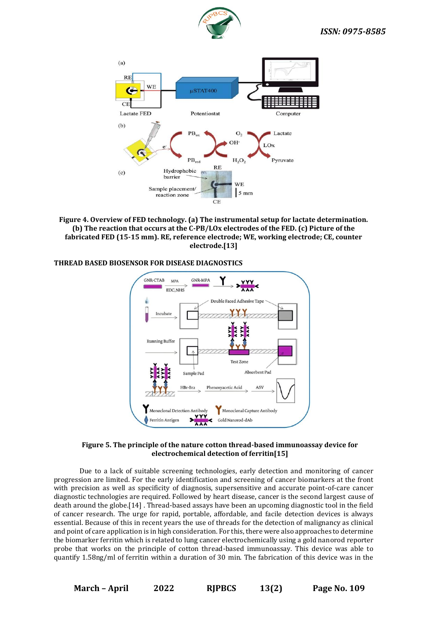



**Figure 4. Overview of FED technology. (a) The instrumental setup for lactate determination. (b) The reaction that occurs at the C-PB/LOx electrodes of the FED. (c) Picture of the fabricated FED (15-15 mm). RE, reference electrode; WE, working electrode; CE, counter electrode.[13]**

## **THREAD BASED BIOSENSOR FOR DISEASE DIAGNOSTICS**



## **Figure 5. The principle of the nature cotton thread-based immunoassay device for electrochemical detection of ferritin[15]**

Due to a lack of suitable screening technologies, early detection and monitoring of cancer progression are limited. For the early identification and screening of cancer biomarkers at the front with precision as well as specificity of diagnosis, supersensitive and accurate point-of-care cancer diagnostic technologies are required. Followed by heart disease, cancer is the second largest cause of death around the globe.[14] . Thread-based assays have been an upcoming diagnostic tool in the field of cancer research. The urge for rapid, portable, affordable, and facile detection devices is always essential. Because of this in recent years the use of threads for the detection of malignancy as clinical and point of care application is in high consideration. For this, there were also approaches to determine the biomarker ferritin which is related to lung cancer electrochemically using a gold nanorod reporter probe that works on the principle of cotton thread-based immunoassay. This device was able to quantify 1.58ng/ml of ferritin within a duration of 30 min. The fabrication of this device was in the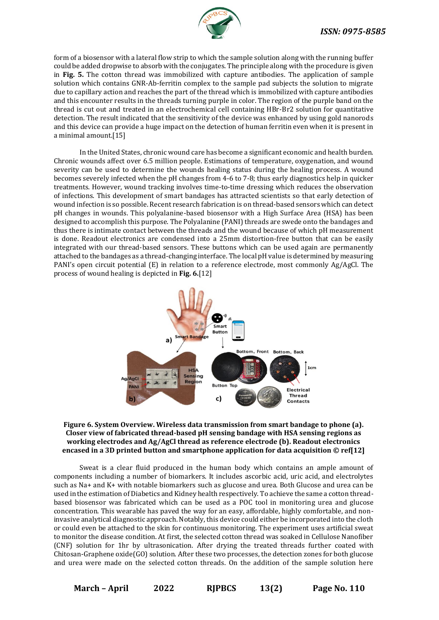

form of a biosensor with a lateral flow strip to which the sample solution along with the running buffer could be added dropwise to absorb with the conjugates. The principle along with the procedure is given in **Fig. 5.** The cotton thread was immobilized with capture antibodies. The application of sample solution which contains GNR-Ab-ferritin complex to the sample pad subjects the solution to migrate due to capillary action and reaches the part of the thread which is immobilized with capture antibodies and this encounter results in the threads turning purple in color. The region of the purple band on the thread is cut out and treated in an electrochemical cell containing HBr-Br2 solution for quantitative detection. The result indicated that the sensitivity of the device was enhanced by using gold nanorods and this device can provide a huge impact on the detection of human ferritin even when it is present in a minimal amount.[15]

In the United States, chronic wound care has become a significant economic and health burden. Chronic wounds affect over 6.5 million people. Estimations of temperature, oxygenation, and wound severity can be used to determine the wounds healing status during the healing process. A wound becomes severely infected when the pH changes from 4-6 to 7-8; thus early diagnostics help in quicker treatments. However, wound tracking involves time-to-time dressing which reduces the observation of infections. This development of smart bandages has attracted scientists so that early detection of wound infection is so possible. Recent research fabrication is on thread-based sensors which can detect pH changes in wounds. This polyalanine-based biosensor with a High Surface Area (HSA) has been designed to accomplish this purpose. The Polyalanine (PANI) threads are swede onto the bandages and thus there is intimate contact between the threads and the wound because of which pH measurement is done. Readout electronics are condensed into a 25mm distortion-free button that can be easily integrated with our thread-based sensors. These buttons which can be used again are permanently attached to the bandages as a thread-changing interface. The local pH value is determined by measuring PANI's open circuit potential (E) in relation to a reference electrode, most commonly Ag/AgCl. The process of wound healing is depicted in **Fig. 6.**[12]



## **Figure 6. System Overview. Wireless data transmission from smart bandage to phone (a). Closer view of fabricated thread-based pH sensing bandage with HSA sensing regions as working electrodes and Ag/AgCl thread as reference electrode (b). Readout electronics encased in a 3D printed button and smartphone application for data acquisition © ref[12]**

Sweat is a clear fluid produced in the human body which contains an ample amount of components including a number of biomarkers. It includes ascorbic acid, uric acid, and electrolytes such as Na+ and K+ with notable biomarkers such as glucose and urea. Both Glucose and urea can be used in the estimation of Diabetics and Kidney health respectively. To achieve the same a cotton threadbased biosensor was fabricated which can be used as a POC tool in monitoring urea and glucose concentration. This wearable has paved the way for an easy, affordable, highly comfortable, and noninvasive analytical diagnostic approach. Notably, this device could either be incorporated into the cloth or could even be attached to the skin for continuous monitoring. The experiment uses artificial sweat to monitor the disease condition. At first, the selected cotton thread was soaked in Cellulose Nanofiber (CNF) solution for 1hr by ultrasonication. After drying the treated threads further coated with Chitosan-Graphene oxide(GO) solution. After these two processes, the detection zones for both glucose and urea were made on the selected cotton threads. On the addition of the sample solution here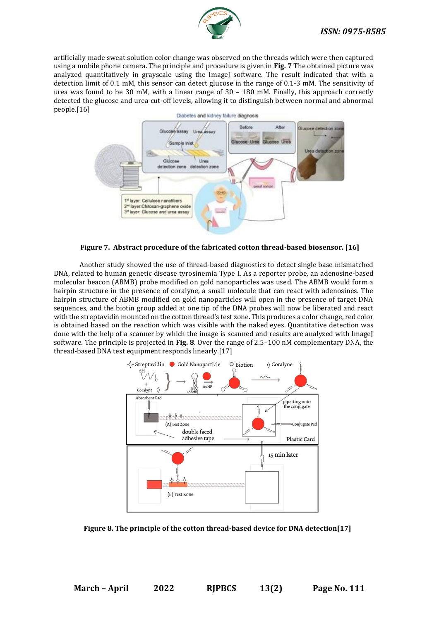

artificially made sweat solution color change was observed on the threads which were then captured using a mobile phone camera. The principle and procedure is given in **Fig. 7** The obtained picture was analyzed quantitatively in grayscale using the ImageJ software. The result indicated that with a detection limit of 0.1 mM, this sensor can detect glucose in the range of 0.1-3 mM. The sensitivity of urea was found to be 30 mM, with a linear range of 30 – 180 mM. Finally, this approach correctly detected the glucose and urea cut-off levels, allowing it to distinguish between normal and abnormal people.[16]



**Figure 7. Abstract procedure of the fabricated cotton thread-based biosensor. [16]**

Another study showed the use of thread-based diagnostics to detect single base mismatched DNA, related to human genetic disease tyrosinemia Type Ⅰ. As a reporter probe, an adenosine-based molecular beacon (ABMB) probe modified on gold nanoparticles was used. The ABMB would form a hairpin structure in the presence of coralyne, a small molecule that can react with adenosines. The hairpin structure of ABMB modified on gold nanoparticles will open in the presence of target DNA sequences, and the biotin group added at one tip of the DNA probes will now be liberated and react with the streptavidin mounted on the cotton thread's test zone. This produces a color change, red color is obtained based on the reaction which was visible with the naked eyes. Quantitative detection was done with the help of a scanner by which the image is scanned and results are analyzed with ImageJ software. The principle is projected in **Fig. 8**. Over the range of 2.5–100 nM complementary DNA, the thread-based DNA test equipment responds linearly.[17]



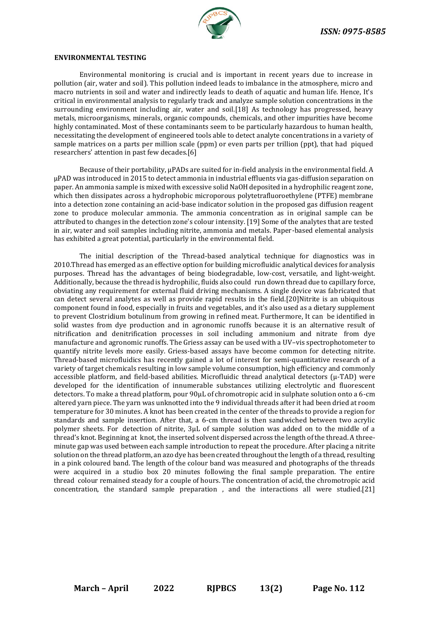

#### **ENVIRONMENTAL TESTING**

Environmental monitoring is crucial and is important in recent years due to increase in pollution (air, water and soil). This pollution indeed leads to imbalance in the atmosphere, micro and macro nutrients in soil and water and indirectly leads to death of aquatic and human life. Hence, It's critical in environmental analysis to regularly track and analyze sample solution concentrations in the surrounding environment including air, water and soil.[18] As technology has progressed, heavy metals, microorganisms, minerals, organic compounds, chemicals, and other impurities have become highly contaminated. Most of these contaminants seem to be particularly hazardous to human health, necessitating the development of engineered tools able to detect analyte concentrations in a variety of sample matrices on a parts per million scale (ppm) or even parts per trillion (ppt), that had piqued researchers' attention in past few decades.[6]

Because of their portability, µPADs are suited for in-field analysis in the environmental field. A µPAD was introduced in 2015 to detect ammonia in industrial effluents via gas-diffusion separation on paper. An ammonia sample is mixed with excessive solid NaOH deposited in a hydrophilic reagent zone, which then dissipates across a hydrophobic microporous polytetrafluoroethylene (PTFE) membrane into a detection zone containing an acid-base indicator solution in the proposed gas diffusion reagent zone to produce molecular ammonia. The ammonia concentration as in original sample can be attributed to changes in the detection zone's colour intensity. [19] Some of the analytes that are tested in air, water and soil samples including nitrite, ammonia and metals. Paper-based elemental analysis has exhibited a great potential, particularly in the environmental field.

The initial description of the Thread-based analytical technique for diagnostics was in 2010.Thread has emerged as an effective option for building microfluidic analytical devices for analysis purposes. Thread has the advantages of being biodegradable, low-cost, versatile, and light-weight. Additionally, because the thread is hydrophilic, fluids also could run down thread due to capillary force, obviating any requirement for external fluid driving mechanisms. A single device was fabricated that can detect several analytes as well as provide rapid results in the field.[20]Nitrite is an ubiquitous component found in food, especially in fruits and vegetables, and it's also used as a dietary supplement to prevent Clostridium botulinum from growing in refined meat. Furthermore, It can be identified in solid wastes from dye production and in agronomic runoffs because it is an alternative result of nitrification and denitrification processes in soil including ammonium and nitrate from dye manufacture and agronomic runoffs. The Griess assay can be used with a UV–vis spectrophotometer to quantify nitrite levels more easily. Griess-based assays have become common for detecting nitrite. Thread-based microfluidics has recently gained a lot of interest for semi-quantitative research of a variety of target chemicals resulting in low sample volume consumption, high efficiency and commonly accessible platform, and field-based abilities. Microfluidic thread analytical detectors  $(\mu$ -TAD) were developed for the identification of innumerable substances utilizing electrolytic and fluorescent detectors. To make a thread platform, pour 90μL of chromotropic acid in sulphate solution onto a 6-cm altered yarn piece. The yarn was unknotted into the 9 individual threads after it had been dried at room temperature for 30 minutes. A knot has been created in the center of the threads to provide a region for standards and sample insertion. After that, a 6-cm thread is then sandwiched between two acrylic polymer sheets. For detection of nitrite, 3μL of sample solution was added on to the middle of a thread's knot. Beginning at knot, the inserted solvent dispersed across the length of the thread. A threeminute gap was used between each sample introduction to repeat the procedure. After placing a nitrite solution on the thread platform, an azo dye has been created throughout the length of a thread, resulting in a pink coloured band. The length of the colour band was measured and photographs of the threads were acquired in a studio box 20 minutes following the final sample preparation. The entire thread colour remained steady for a couple of hours. The concentration of acid, the chromotropic acid concentration, the standard sample preparation , and the interactions all were studied.[21]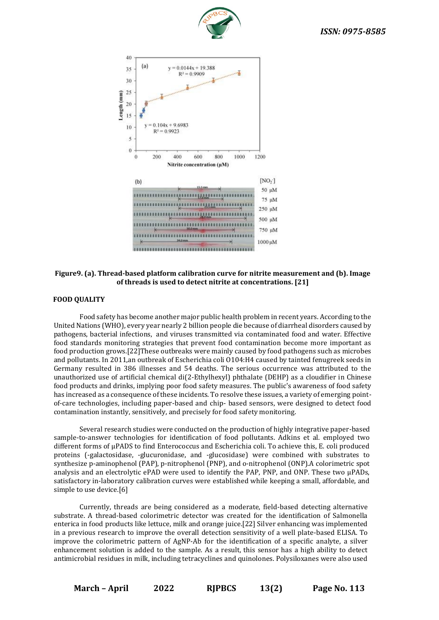



## **Figure9. (a). Thread-based platform calibration curve for nitrite measurement and (b). Image of threads is used to detect nitrite at concentrations. [21]**

#### **FOOD QUALITY**

Food safety has become another major public health problem in recent years. According to the United Nations (WHO), every year nearly 2 billion people die because of diarrheal disorders caused by pathogens, bacterial infections, and viruses transmitted via contaminated food and water. Effective food standards monitoring strategies that prevent food contamination become more important as food production grows.[22]These outbreaks were mainly caused by food pathogens such as microbes and pollutants. In 2011,an outbreak of Escherichia coli O104:H4 caused by tainted fenugreek seeds in Germany resulted in 386 illnesses and 54 deaths. The serious occurrence was attributed to the unauthorized use of artificial chemical di(2-Ethylhexyl) phthalate (DEHP) as a cloudifier in Chinese food products and drinks, implying poor food safety measures. The public's awareness of food safety has increased as a consequence of these incidents. To resolve these issues, a variety of emerging pointof-care technologies, including paper-based and chip- based sensors, were designed to detect food contamination instantly, sensitively, and precisely for food safety monitoring.

Several research studies were conducted on the production of highly integrative paper-based sample-to-answer technologies for identification of food pollutants. Adkins et al. employed two different forms of μPADS to find Enterococcus and Escherichia coli. To achieve this, E. coli produced proteins (-galactosidase, -glucuronidase, and -glucosidase) were combined with substrates to synthesize p-aminophenol (PAP), p-nitrophenol (PNP), and o-nitrophenol (ONP).A colorimetric spot analysis and an electrolytic ePAD were used to identify the PAP, PNP, and ONP. These two μPADs, satisfactory in-laboratory calibration curves were established while keeping a small, affordable, and simple to use device.[6]

Currently, threads are being considered as a moderate, field-based detecting alternative substrate. A thread-based colorimetric detector was created for the identification of Salmonella enterica in food products like lettuce, milk and orange juice.[22] Silver enhancing was implemented in a previous research to improve the overall detection sensitivity of a well plate-based ELISA. To improve the colorimetric pattern of AgNP-Ab for the identification of a specific analyte, a silver enhancement solution is added to the sample. As a result, this sensor has a high ability to detect antimicrobial residues in milk, including tetracyclines and quinolones. Polysiloxanes were also used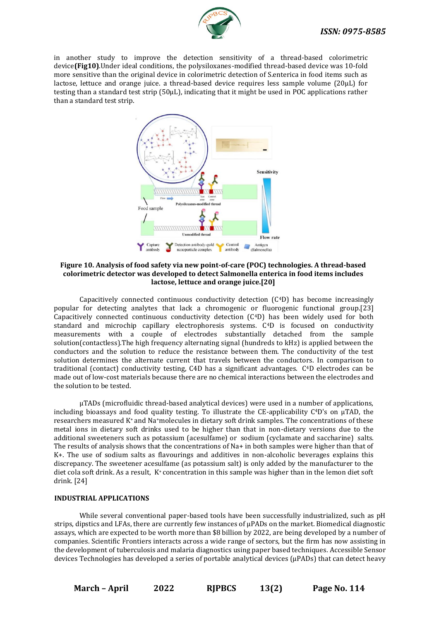

in another study to improve the detection sensitivity of a thread-based colorimetric device**(Fig10)**.Under ideal conditions, the polysiloxanes-modified thread-based device was 10-fold more sensitive than the original device in colorimetric detection of S.enterica in food items such as lactose, lettuce and orange juice. a thread-based device requires less sample volume (20µL) for testing than a standard test strip (50µL), indicating that it might be used in POC applications rather than a standard test strip.



## **Figure 10. Analysis of food safety via new point-of-care (POC) technologies. A thread-based colorimetric detector was developed to detect Salmonella enterica in food items includes lactose, lettuce and orange juice.[20]**

Capacitively connected continuous conductivity detection  $(C<sup>4</sup>D)$  has become increasingly popular for detecting analytes that lack a chromogenic or fluorogenic functional group.[23] Capacitively connected continuous conductivity detection  $(C<sup>4</sup>D)$  has been widely used for both standard and microchip capillary electrophoresis systems. C<sup>4</sup>D is focused on conductivity measurements with a couple of electrodes substantially detached from the sample solution(contactless).The high frequency alternating signal (hundreds to kHz) is applied between the conductors and the solution to reduce the resistance between them. The conductivity of the test solution determines the alternate current that travels between the conductors. In comparison to traditional (contact) conductivity testing, C4D has a significant advantages. C<sup>4</sup>D electrodes can be made out of low-cost materials because there are no chemical interactions between the electrodes and the solution to be tested.

µTADs (microfluidic thread-based analytical devices) were used in a number of applications, including bioassays and food quality testing. To illustrate the CE-applicability  $C^4D$ 's on  $\mu$ TAD, the researchers measured K+ and Na+molecules in dietary soft drink samples. The concentrations of these metal ions in dietary soft drinks used to be higher than that in non-dietary versions due to the additional sweeteners such as potassium (acesulfame) or sodium (cyclamate and saccharine) salts. The results of analysis shows that the concentrations of Na+ in both samples were higher than that of K+. The use of sodium salts as flavourings and additives in non-alcoholic beverages explains this discrepancy. The sweetener acesulfame (as potassium salt) is only added by the manufacturer to the diet cola soft drink. As a result, K+ concentration in this sample was higher than in the lemon diet soft drink. [24]

## **INDUSTRIAL APPLICATIONS**

While several conventional paper-based tools have been successfully industrialized, such as pH strips, dipstics and LFAs, there are currently few instances of µPADs on the market. Biomedical diagnostic assays, which are expected to be worth more than \$8 billion by 2022, are being developed by a number of companies. Scientific Frontiers interacts across a wide range of sectors, but the firm has now assisting in the development of tuberculosis and malaria diagnostics using paper based techniques. Accessible Sensor devices Technologies has developed a series of portable analytical devices (µPADs) that can detect heavy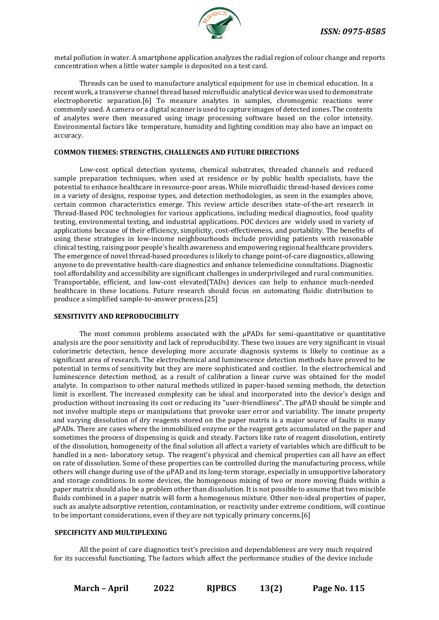

metal pollution in water. A smartphone application analyzes the radial region of colour change and reports concentration when a little water sample is deposited on a test card.

Threads can be used to manufacture analytical equipment for use in chemical education. In a recent work, a transverse channel thread based microfluidic analytical device was used to demonstrate electrophoretic separation.[6] To measure analytes in samples, chromogenic reactions were commonly used. A camera or a digital scanner is used to capture images of detected zones. The contents of analytes were then measured using image processing software based on the color intensity. Environmental factors like temperature, humidity and lighting condition may also have an impact on accuracy.

#### **COMMON THEMES: STRENGTHS, CHALLENGES AND FUTURE DIRECTIONS**

Low-cost optical detection systems, chemical substrates, threaded channels and reduced sample preparation techniques, when used at residence or by public health specialists, have the potential to enhance healthcare in resource-poor areas. While microfluidic thread-based devices come in a variety of designs, response types, and detection methodologies, as seen in the examples above, certain common characteristics emerge. This review article describes state-of-the-art research in Thread-Based POC technologies for various applications, including medical diagnostics, food quality testing, environmental testing, and industrial applications. POC devices are widely used in variety of applications because of their efficiency, simplicity, cost-effectiveness, and portability. The benefits of using these strategies in low-income neighbourhoods include providing patients with reasonable clinical testing, raising poor people's health awareness and empowering regional healthcare providers. The emergence of novel thread-based procedures is likely to change point-of-care diagnostics, allowing anyone to do preventative health-care diagnostics and enhance telemedicine consultations. Diagnostic tool affordability and accessibility are significant challenges in underprivileged and rural communities. Transportable, efficient, and low-cost elevated(TADs) devices can help to enhance much-needed healthcare in these locations. Future research should focus on automating fluidic distribution to produce a simplified sample-to-answer process.[25]

#### **SENSITIVITY AND REPRODUCIBILITY**

The most common problems associated with the  $\mu$ PADs for semi-quantitative or quantitative analysis are the poor sensitivity and lack of reproducibility. These two issues are very significant in visual colorimetric detection, hence developing more accurate diagnosis systems is likely to continue as a significant area of research. The electrochemical and luminescence detection methods have proved to be potential in terms of sensitivity but they are more sophisticated and costlier. In the electrochemical and luminescence detection method, as a result of calibration a linear curve was obtained for the model analyte. In comparison to other natural methods utilized in paper-based sensing methods, the detection limit is excellent. The increased complexity can be ideal and incorporated into the device's design and production without increasing its cost or reducing its "user-friendliness". The μPAD should be simple and not involve multiple steps or manipulations that provoke user error and variability. The innate property and varying dissolution of dry reagents stored on the paper matrix is a major source of faults in many μPADs. There are cases where the immobilized enzyme or the reagent gets accumulated on the paper and sometimes the process of dispensing is quick and steady. Factors like rate of reagent dissolution, entirety of the dissolution, homogeneity of the final solution all affect a variety of variables which are difficult to be handled in a non- laboratory setup. The reagent's physical and chemical properties can all have an effect on rate of dissolution. Some of these properties can be controlled during the manufacturing process, while others will change during use of the μPAD and its long-term storage, especially in unsupportive laboratory and storage conditions. In some devices, the homogenous mixing of two or more moving fluids within a paper matrix should also be a problem other than dissolution. It is not possible to assume that two miscible fluids combined in a paper matrix will form a homogenous mixture. Other non-ideal properties of paper, such as analyte adsorptive retention, contamination, or reactivity under extreme conditions, will continue to be important considerations, even if they are not typically primary concerns.[6]

## **SPECIFICITY AND MULTIPLEXING**

All the point of care diagnostics test's precision and dependableness are very much required for its successful functioning. The factors which affect the performance studies of the device include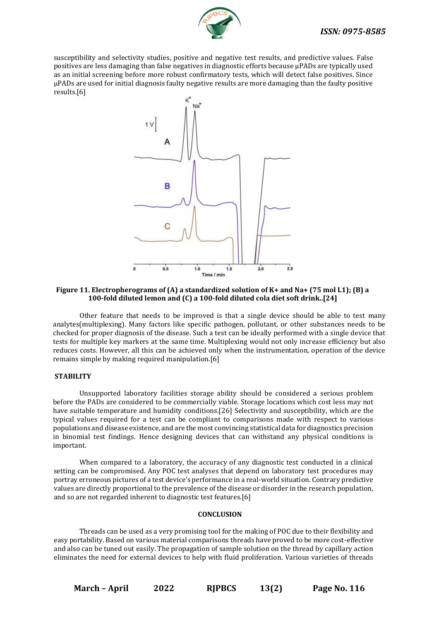

susceptibility and selectivity studies, positive and negative test results, and predictive values. False positives are less damaging than false negatives in diagnostic efforts because μPADs are typically used as an initial screening before more robust confirmatory tests, which will detect false positives. Since μPADs are used for initial diagnosis faulty negative results are more damaging than the faulty positive results.[6]



## **Figure 11. Electropherograms of (A) a standardized solution of K+ and Na+ (75 mol L1); (B) a 100-fold diluted lemon and (C) a 100-fold diluted cola diet soft drink..[24]**

Other feature that needs to be improved is that a single device should be able to test many analytes(multiplexing). Many factors like specific pathogen, pollutant, or other substances needs to be checked for proper diagnosis of the disease. Such a test can be ideally performed with a single device that tests for multiple key markers at the same time. Multiplexing would not only increase efficiency but also reduces costs. However, all this can be achieved only when the instrumentation, operation of the device remains simple by making required manipulation.[6]

## **STABILITY**

Unsupported laboratory facilities storage ability should be considered a serious problem before the PADs are considered to be commercially viable. Storage locations which cost less may not have suitable temperature and humidity conditions.[26] Selectivity and susceptibility, which are the typical values required for a test can be compliant to comparisons made with respect to various populations and disease existence, and are the most convincing statistical data for diagnostics precision in binomial test findings. Hence designing devices that can withstand any physical conditions is important.

When compared to a laboratory, the accuracy of any diagnostic test conducted in a clinical setting can be compromised. Any POC test analyses that depend on laboratory test procedures may portray erroneous pictures of a test device's performance in a real-world situation. Contrary predictive values are directly proportional to the prevalence of the disease or disorder in the research population, and so are not regarded inherent to diagnostic test features.[6]

## **CONCLUSION**

Threads can be used as a very promising tool for the making of POC due to their flexibility and easy portability. Based on various material comparisons threads have proved to be more cost-effective and also can be tuned out easily. The propagation of sample solution on the thread by capillary action eliminates the need for external devices to help with fluid proliferation. Various varieties of threads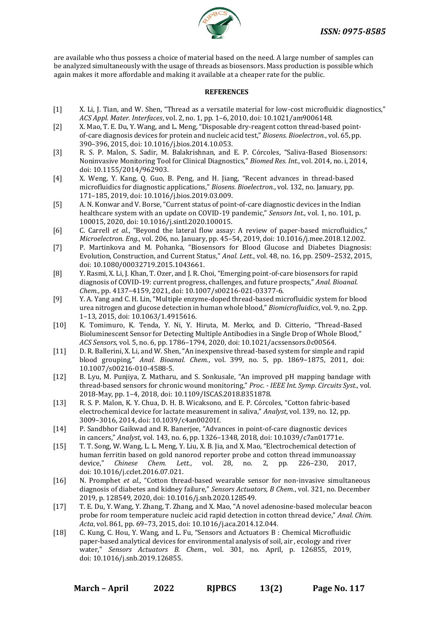

are available who thus possess a choice of material based on the need. A large number of samples can be analyzed simultaneously with the usage of threads as biosensors. Mass production is possible which again makes it more affordable and making it available at a cheaper rate for the public.

## **REFERENCES**

- [1] X. Li, J. Tian, and W. Shen, "Thread as a versatile material for low-cost microfluidic diagnostics," *ACS Appl. Mater. Interfaces*, vol. 2, no. 1, pp. 1–6, 2010, doi: 10.1021/am9006148.
- [2] X. Mao, T. E. Du, Y. Wang, and L. Meng, "Disposable dry-reagent cotton thread-based pointof-care diagnosis devices for protein and nucleic acid test," *Biosens. Bioelectron.*, vol. 65, pp. 390–396, 2015, doi: 10.1016/j.bios.2014.10.053.
- [3] R. S. P. Malon, S. Sadir, M. Balakrishnan, and E. P. Córcoles, "Saliva-Based Biosensors: Noninvasive Monitoring Tool for Clinical Diagnostics," *Biomed Res. Int.*, vol. 2014, no. i, 2014, doi: 10.1155/2014/962903.
- [4] X. Weng, Y. Kang, Q. Guo, B. Peng, and H. Jiang, "Recent advances in thread-based microfluidics for diagnostic applications," *Biosens. Bioelectron.*, vol. 132, no. January, pp. 171–185, 2019, doi: 10.1016/j.bios.2019.03.009.
- [5] A. N. Konwar and V. Borse, "Current status of point-of-care diagnostic devices in the Indian healthcare system with an update on COVID-19 pandemic," *Sensors Int.*, vol. 1, no. 101, p. 100015, 2020, doi: 10.1016/j.sintl.2020.100015.
- [6] C. Carrell *et al.*, "Beyond the lateral flow assay: A review of paper-based microfluidics," *Microelectron. Eng.*, vol. 206, no. January, pp. 45–54, 2019, doi: 10.1016/j.mee.2018.12.002.
- [7] P. Martinkova and M. Pohanka, "Biosensors for Blood Glucose and Diabetes Diagnosis: Evolution, Construction, and Current Status," *Anal. Lett.*, vol. 48, no. 16, pp. 2509–2532, 2015, doi: 10.1080/00032719.2015.1043661.
- [8] Y. Rasmi, X. Li, J. Khan, T. Ozer, and J. R. Choi, "Emerging point-of-care biosensors for rapid diagnosis of COVID-19: current progress, challenges, and future prospects," *Anal. Bioanal. Chem.*, pp. 4137–4159, 2021, doi: 10.1007/s00216-021-03377-6.
- [9] Y. A. Yang and C. H. Lin, "Multiple enzyme-doped thread-based microfluidic system for blood urea nitrogen and glucose detection in human whole blood," *Biomicrofluidics*, vol. 9, no. 2,pp. 1–13, 2015, doi: 10.1063/1.4915616.
- [10] K. Tomimuro, K. Tenda, Y. Ni, Y. Hiruta, M. Merkx, and D. Citterio, "Thread-Based Bioluminescent Sensor for Detecting Multiple Antibodies in a Single Drop of Whole Blood," *ACS Sensors*, vol. 5, no. 6, pp. 1786–1794, 2020, doi: 10.1021/acssensors.0c00564.
- [11] D. R. Ballerini, X. Li, and W. Shen, "An inexpensive thread-based system for simple and rapid blood grouping," *Anal. Bioanal. Chem.*, vol. 399, no. 5, pp. 1869–1875, 2011, doi: 10.1007/s00216-010-4588-5.
- [12] B. Lyu, M. Punjiya, Z. Matharu, and S. Sonkusale, "An improved pH mapping bandage with thread-based sensors for chronic wound monitoring," *Proc. - IEEE Int. Symp. Circuits Syst.*, vol. 2018-May, pp. 1–4, 2018, doi: 10.1109/ISCAS.2018.8351878.
- [13] R. S. P. Malon, K. Y. Chua, D. H. B. Wicaksono, and E. P. Córcoles, "Cotton fabric-based electrochemical device for lactate measurement in saliva," *Analyst*, vol. 139, no. 12, pp. 3009–3016, 2014, doi: 10.1039/c4an00201f.
- [14] P. Sandbhor Gaikwad and R. Banerjee, "Advances in point-of-care diagnostic devices in cancers," *Analyst*, vol. 143, no. 6, pp. 1326–1348, 2018, doi: 10.1039/c7an01771e.
- [15] T. T. Song, W. Wang, L. L. Meng, Y. Liu, X. B. Jia, and X. Mao, "Electrochemical detection of human ferritin based on gold nanorod reporter probe and cotton thread immunoassay device," *Chinese Chem. Lett.*, vol. 28, no. 2, pp. 226–230, 2017, doi: 10.1016/j.cclet.2016.07.021.
- [16] N. Promphet *et al.*, "Cotton thread-based wearable sensor for non-invasive simultaneous diagnosis of diabetes and kidney failure," *Sensors Actuators, B Chem.*, vol. 321, no. December 2019, p. 128549, 2020, doi: 10.1016/j.snb.2020.128549.
- [17] T. E. Du, Y. Wang, Y. Zhang, T. Zhang, and X. Mao, "A novel adenosine-based molecular beacon probe for room temperature nucleic acid rapid detection in cotton thread device," *Anal. Chim. Acta*, vol. 861, pp. 69–73, 2015, doi: 10.1016/j.aca.2014.12.044.
- [18] C. Kung, C. Hou, Y. Wang, and L. Fu, "Sensors and Actuators B : Chemical Microfluidic paper-based analytical devices for environmental analysis of soil, air , ecology and river water," *Sensors Actuators B. Chem.*, vol. 301, no. April, p. 126855, 2019, doi: 10.1016/j.snb.2019.126855.